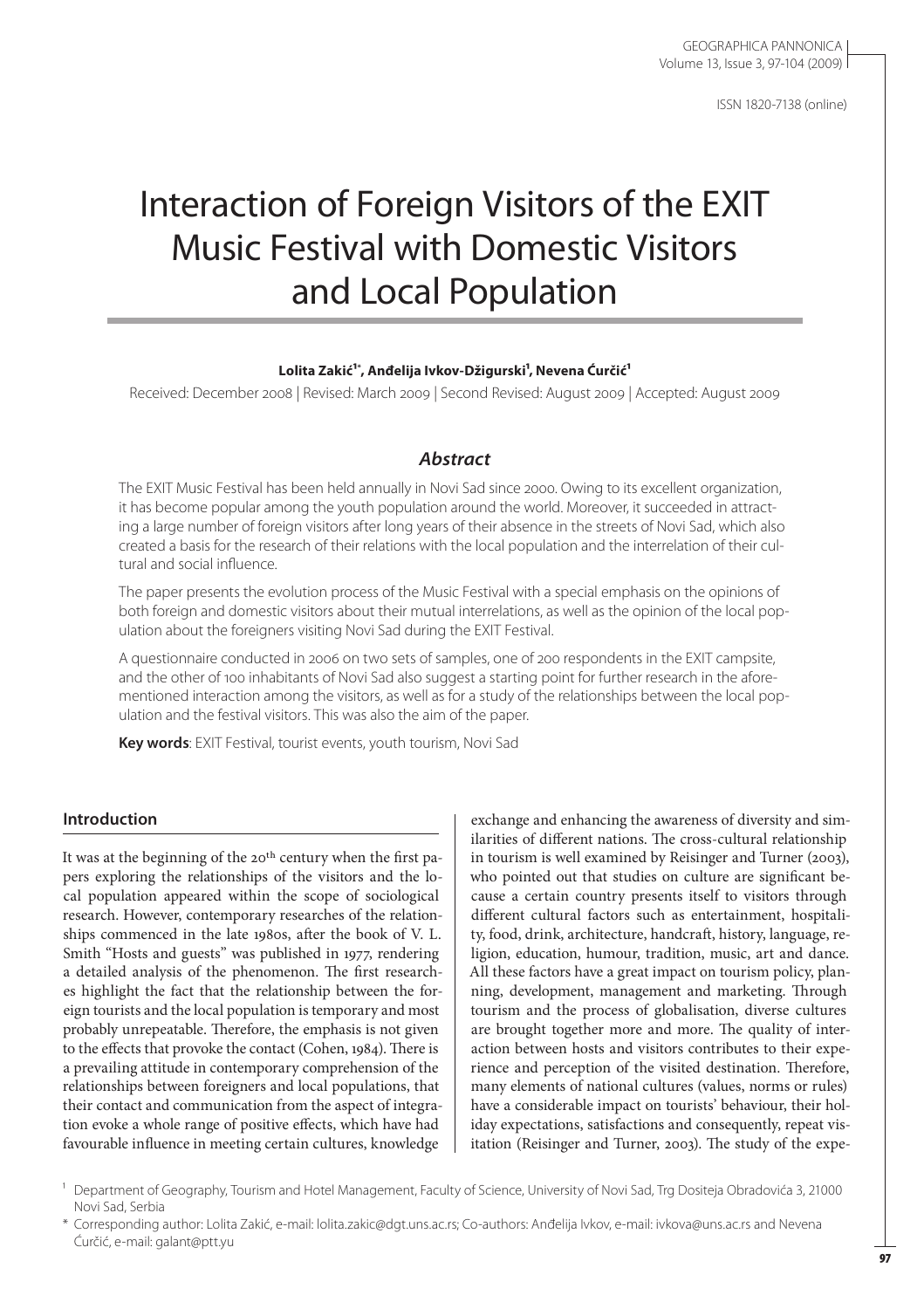ISSN 1820-7138 (online)

# Interaction of Foreign Visitors of the EXIT Music Festival with Domestic Visitors and Local Population

#### Lolita Zakić<sup>1</sup>\*, Anđelija Ivkov-Džigurski<sup>1</sup>, Nevena Ćurčić<sup>1</sup>

Received: December 2008 | Revised: March 2009 | Second Revised: August 2009 | Accepted: August 2009

# *Abstract*

The EXIT Music Festival has been held annually in Novi Sad since 2000. Owing to its excellent organization, it has become popular among the youth population around the world. Moreover, it succeeded in attracting a large number of foreign visitors after long years of their absence in the streets of Novi Sad, which also created a basis for the research of their relations with the local population and the interrelation of their cultural and social influence.

The paper presents the evolution process of the Music Festival with a special emphasis on the opinions of both foreign and domestic visitors about their mutual interrelations, as well as the opinion of the local population about the foreigners visiting Novi Sad during the EXIT Festival.

A questionnaire conducted in 2006 on two sets of samples, one of 200 respondents in the EXIT campsite, and the other of 100 inhabitants of Novi Sad also suggest a starting point for further research in the aforementioned interaction among the visitors, as well as for a study of the relationships between the local population and the festival visitors. This was also the aim of the paper.

**Key words**: EXIT Festival, tourist events, youth tourism, Novi Sad

## **Introduction**

It was at the beginning of the 20<sup>th</sup> century when the first papers exploring the relationships of the visitors and the local population appeared within the scope of sociological research. However, contemporary researches of the relationships commenced in the late 1980s, after the book of V. L. Smith "Hosts and guests" was published in 1977, rendering a detailed analysis of the phenomenon. The first researches highlight the fact that the relationship between the foreign tourists and the local population is temporary and most probably unrepeatable. Therefore, the emphasis is not given to the effects that provoke the contact (Cohen, 1984). There is a prevailing attitude in contemporary comprehension of the relationships between foreigners and local populations, that their contact and communication from the aspect of integration evoke a whole range of positive effects, which have had favourable influence in meeting certain cultures, knowledge

exchange and enhancing the awareness of diversity and similarities of different nations. The cross-cultural relationship in tourism is well examined by Reisinger and Turner (2003), who pointed out that studies on culture are significant because a certain country presents itself to visitors through different cultural factors such as entertainment, hospitality, food, drink, architecture, handcraft, history, language, religion, education, humour, tradition, music, art and dance. All these factors have a great impact on tourism policy, planning, development, management and marketing. Through tourism and the process of globalisation, diverse cultures are brought together more and more. The quality of interaction between hosts and visitors contributes to their experience and perception of the visited destination. Therefore, many elements of national cultures (values, norms or rules) have a considerable impact on tourists' behaviour, their holiday expectations, satisfactions and consequently, repeat visitation (Reisinger and Turner, 2003). The study of the expe-

<sup>&</sup>lt;sup>1</sup> Department of Geography, Tourism and Hotel Management, Faculty of Science, University of Novi Sad, Trg Dositeja Obradovića 3, 21000 Novi Sad, Serbia

<sup>\*</sup> Corresponding author: Lolita Zakić, e-mail: lolita.zakic@dgt.uns.ac.rs; Co-authors: Anđelija Ivkov, e-mail: ivkova@uns.ac.rs and Nevena Ćurčić, e-mail: galant@ptt.yu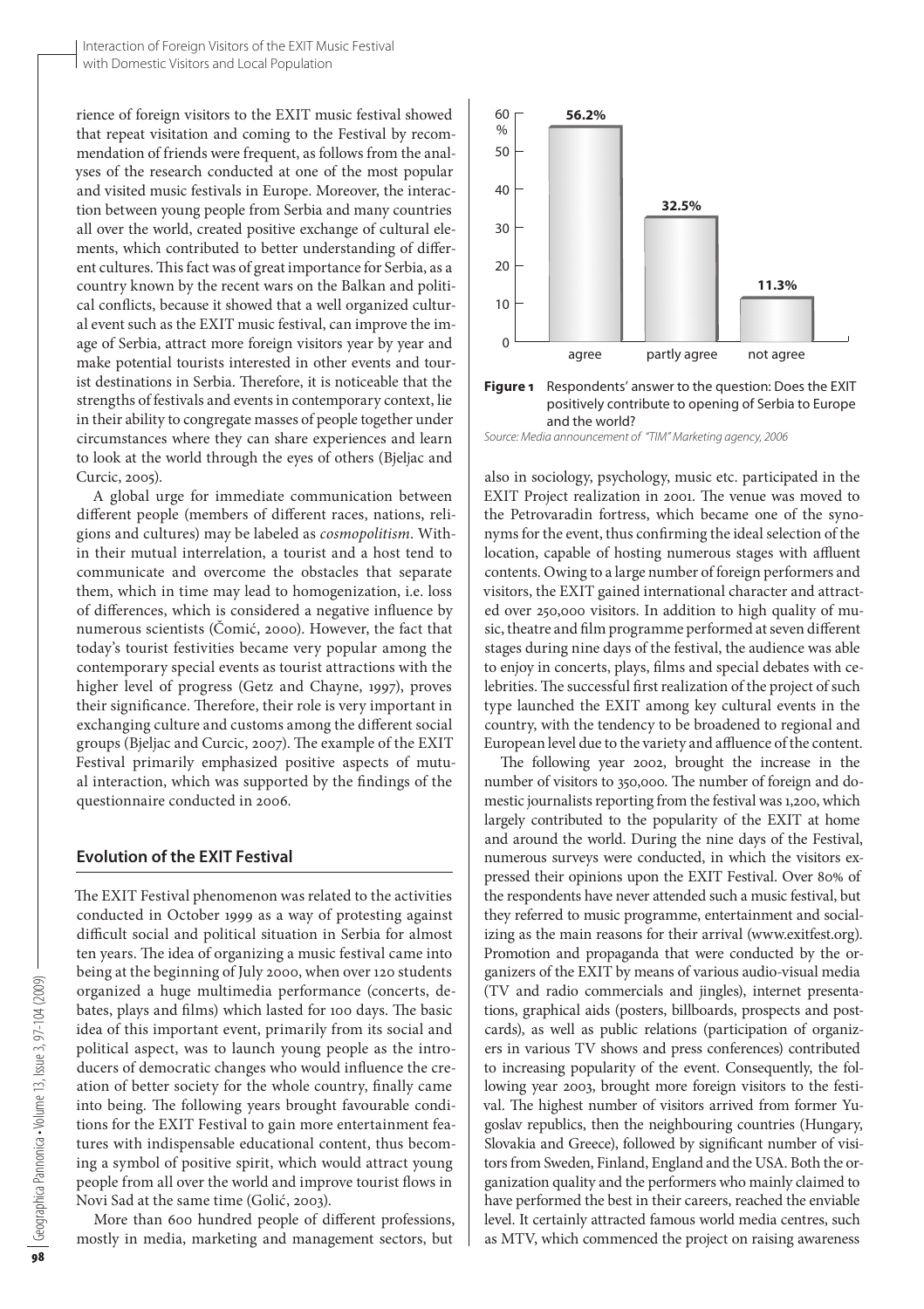rience of foreign visitors to the EXIT music festival showed that repeat visitation and coming to the Festival by recommendation of friends were frequent, as follows from the analyses of the research conducted at one of the most popular and visited music festivals in Europe. Moreover, the interaction between young people from Serbia and many countries all over the world, created positive exchange of cultural elements, which contributed to better understanding of different cultures. This fact was of great importance for Serbia, as a country known by the recent wars on the Balkan and political conflicts, because it showed that a well organized cultural event such as the EXIT music festival, can improve the image of Serbia, attract more foreign visitors year by year and make potential tourists interested in other events and tourist destinations in Serbia. Therefore, it is noticeable that the strengths of festivals and events in contemporary context, lie in their ability to congregate masses of people together under circumstances where they can share experiences and learn to look at the world through the eyes of others (Bjeljac and Curcic, 2005).

A global urge for immediate communication between different people (members of different races, nations, religions and cultures) may be labeled as *cosmopolitism*. Within their mutual interrelation, a tourist and a host tend to communicate and overcome the obstacles that separate them, which in time may lead to homogenization, i.e. loss of differences, which is considered a negative influence by numerous scientists (Čomić, 2000). However, the fact that today's tourist festivities became very popular among the contemporary special events as tourist attractions with the higher level of progress (Getz and Chayne, 1997), proves their significance. Therefore, their role is very important in exchanging culture and customs among the different social groups (Bjeljac and Curcic, 2007). The example of the EXIT Festival primarily emphasized positive aspects of mutual interaction, which was supported by the findings of the questionnaire conducted in 2006.

#### **Evolution of the EXIT Festival**

The EXIT Festival phenomenon was related to the activities conducted in October 1999 as a way of protesting against difficult social and political situation in Serbia for almost ten years. The idea of organizing a music festival came into being at the beginning of July 2000, when over 120 students organized a huge multimedia performance (concerts, debates, plays and films) which lasted for 100 days. The basic idea of this important event, primarily from its social and political aspect, was to launch young people as the introducers of democratic changes who would influence the creation of better society for the whole country, finally came into being. The following years brought favourable conditions for the EXIT Festival to gain more entertainment features with indispensable educational content, thus becoming a symbol of positive spirit, which would attract young people from all over the world and improve tourist flows in Novi Sad at the same time (Golić, 2003).

More than 600 hundred people of different professions, mostly in media, marketing and management sectors, but





*Source: Media announcement of "TIM" Marketing agency, 2006*

also in sociology, psychology, music etc. participated in the EXIT Project realization in 2001. The venue was moved to the Petrovaradin fortress, which became one of the synonyms for the event, thus confirming the ideal selection of the location, capable of hosting numerous stages with affluent contents. Owing to a large number of foreign performers and visitors, the EXIT gained international character and attracted over 250,000 visitors. In addition to high quality of music, theatre and film programme performed at seven different stages during nine days of the festival, the audience was able to enjoy in concerts, plays, films and special debates with celebrities. The successful first realization of the project of such type launched the EXIT among key cultural events in the country, with the tendency to be broadened to regional and European level due to the variety and affluence of the content.

The following year 2002, brought the increase in the number of visitors to 350,000. The number of foreign and domestic journalists reporting from the festival was 1,200, which largely contributed to the popularity of the EXIT at home and around the world. During the nine days of the Festival, numerous surveys were conducted, in which the visitors expressed their opinions upon the EXIT Festival. Over 80% of the respondents have never attended such a music festival, but they referred to music programme, entertainment and socializing as the main reasons for their arrival (www.exitfest.org). Promotion and propaganda that were conducted by the organizers of the EXIT by means of various audio-visual media (TV and radio commercials and jingles), internet presentations, graphical aids (posters, billboards, prospects and postcards), as well as public relations (participation of organizers in various TV shows and press conferences) contributed to increasing popularity of the event. Consequently, the following year 2003, brought more foreign visitors to the festival. The highest number of visitors arrived from former Yugoslav republics, then the neighbouring countries (Hungary, Slovakia and Greece), followed by significant number of visitors from Sweden, Finland, England and the USA. Both the organization quality and the performers who mainly claimed to have performed the best in their careers, reached the enviable level. It certainly attracted famous world media centres, such as MTV, which commenced the project on raising awareness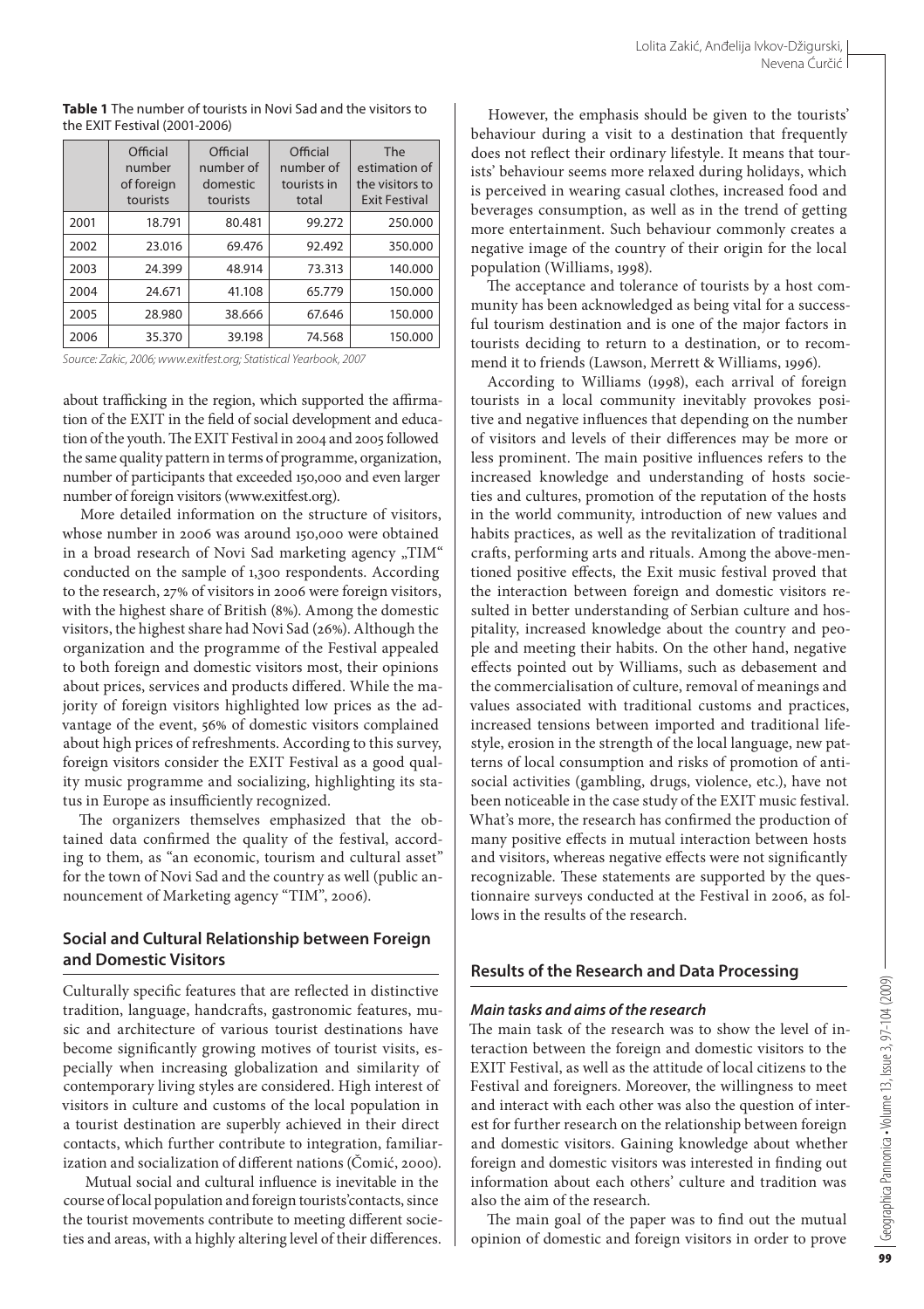|      | Official<br>number<br>of foreign<br>tourists | Official<br>number of<br>domestic<br>tourists | Official<br>number of<br>tourists in<br>total | The<br>estimation of<br>the visitors to<br><b>Exit Festival</b> |
|------|----------------------------------------------|-----------------------------------------------|-----------------------------------------------|-----------------------------------------------------------------|
| 2001 | 18.791                                       | 80.481                                        | 99.272                                        | 250,000                                                         |
| 2002 | 23.016                                       | 69.476                                        | 92.492                                        | 350.000                                                         |
| 2003 | 24.399                                       | 48.914                                        | 73.313                                        | 140.000                                                         |
| 2004 | 24.671                                       | 41.108                                        | 65.779                                        | 150,000                                                         |
| 2005 | 28.980                                       | 38.666                                        | 67.646                                        | 150,000                                                         |
| 2006 | 35.370                                       | 39.198                                        | 74.568                                        | 150.000                                                         |

**Table 1** The number of tourists in Novi Sad and the visitors to the EXIT Festival (2001-2006)

*Source: Zakic, 2006; www.exitfest.org; Statistical Yearbook, 2007*

about trafficking in the region, which supported the affirmation of the EXIT in the field of social development and education of the youth. The EXIT Festival in 2004 and 2005 followed the same quality pattern in terms of programme, organization, number of participants that exceeded 150,000 and even larger number of foreign visitors (www.exitfest.org).

More detailed information on the structure of visitors, whose number in 2006 was around 150,000 were obtained in a broad research of Novi Sad marketing agency "TIM" conducted on the sample of 1,300 respondents. According to the research, 27% of visitors in 2006 were foreign visitors, with the highest share of British (8%). Among the domestic visitors, the highest share had Novi Sad (26%). Although the organization and the programme of the Festival appealed to both foreign and domestic visitors most, their opinions about prices, services and products differed. While the majority of foreign visitors highlighted low prices as the advantage of the event, 56% of domestic visitors complained about high prices of refreshments. According to this survey, foreign visitors consider the EXIT Festival as a good quality music programme and socializing, highlighting its status in Europe as insufficiently recognized.

The organizers themselves emphasized that the obtained data confirmed the quality of the festival, according to them, as "an economic, tourism and cultural asset" for the town of Novi Sad and the country as well (public announcement of Marketing agency "TIM", 2006).

# **Social and Cultural Relationship between Foreign and Domestic Visitors**

Culturally specific features that are reflected in distinctive tradition, language, handcrafts, gastronomic features, music and architecture of various tourist destinations have become significantly growing motives of tourist visits, especially when increasing globalization and similarity of contemporary living styles are considered. High interest of visitors in culture and customs of the local population in a tourist destination are superbly achieved in their direct contacts, which further contribute to integration, familiarization and socialization of different nations (Čomić, 2000).

 Mutual social and cultural influence is inevitable in the course of local population and foreign tourists'contacts, since the tourist movements contribute to meeting different societies and areas, with a highly altering level of their differences.

However, the emphasis should be given to the tourists' behaviour during a visit to a destination that frequently does not reflect their ordinary lifestyle. It means that tourists' behaviour seems more relaxed during holidays, which is perceived in wearing casual clothes, increased food and beverages consumption, as well as in the trend of getting more entertainment. Such behaviour commonly creates a negative image of the country of their origin for the local population (Williams, 1998).

The acceptance and tolerance of tourists by a host community has been acknowledged as being vital for a successful tourism destination and is one of the major factors in tourists deciding to return to a destination, or to recommend it to friends (Lawson, Merrett & Williams, 1996).

According to Williams (1998), each arrival of foreign tourists in a local community inevitably provokes positive and negative influences that depending on the number of visitors and levels of their differences may be more or less prominent. The main positive influences refers to the increased knowledge and understanding of hosts societies and cultures, promotion of the reputation of the hosts in the world community, introduction of new values and habits practices, as well as the revitalization of traditional crafts, performing arts and rituals. Among the above-mentioned positive effects, the Exit music festival proved that the interaction between foreign and domestic visitors resulted in better understanding of Serbian culture and hospitality, increased knowledge about the country and people and meeting their habits. On the other hand, negative effects pointed out by Williams, such as debasement and the commercialisation of culture, removal of meanings and values associated with traditional customs and practices, increased tensions between imported and traditional lifestyle, erosion in the strength of the local language, new patterns of local consumption and risks of promotion of antisocial activities (gambling, drugs, violence, etc.), have not been noticeable in the case study of the EXIT music festival. What's more, the research has confirmed the production of many positive effects in mutual interaction between hosts and visitors, whereas negative effects were not significantly recognizable. These statements are supported by the questionnaire surveys conducted at the Festival in 2006, as follows in the results of the research.

## **Results of the Research and Data Processing**

## *Main tasks and aims of the research*

The main task of the research was to show the level of interaction between the foreign and domestic visitors to the EXIT Festival, as well as the attitude of local citizens to the Festival and foreigners. Moreover, the willingness to meet and interact with each other was also the question of interest for further research on the relationship between foreign and domestic visitors. Gaining knowledge about whether foreign and domestic visitors was interested in finding out information about each others' culture and tradition was also the aim of the research.

The main goal of the paper was to find out the mutual opinion of domestic and foreign visitors in order to prove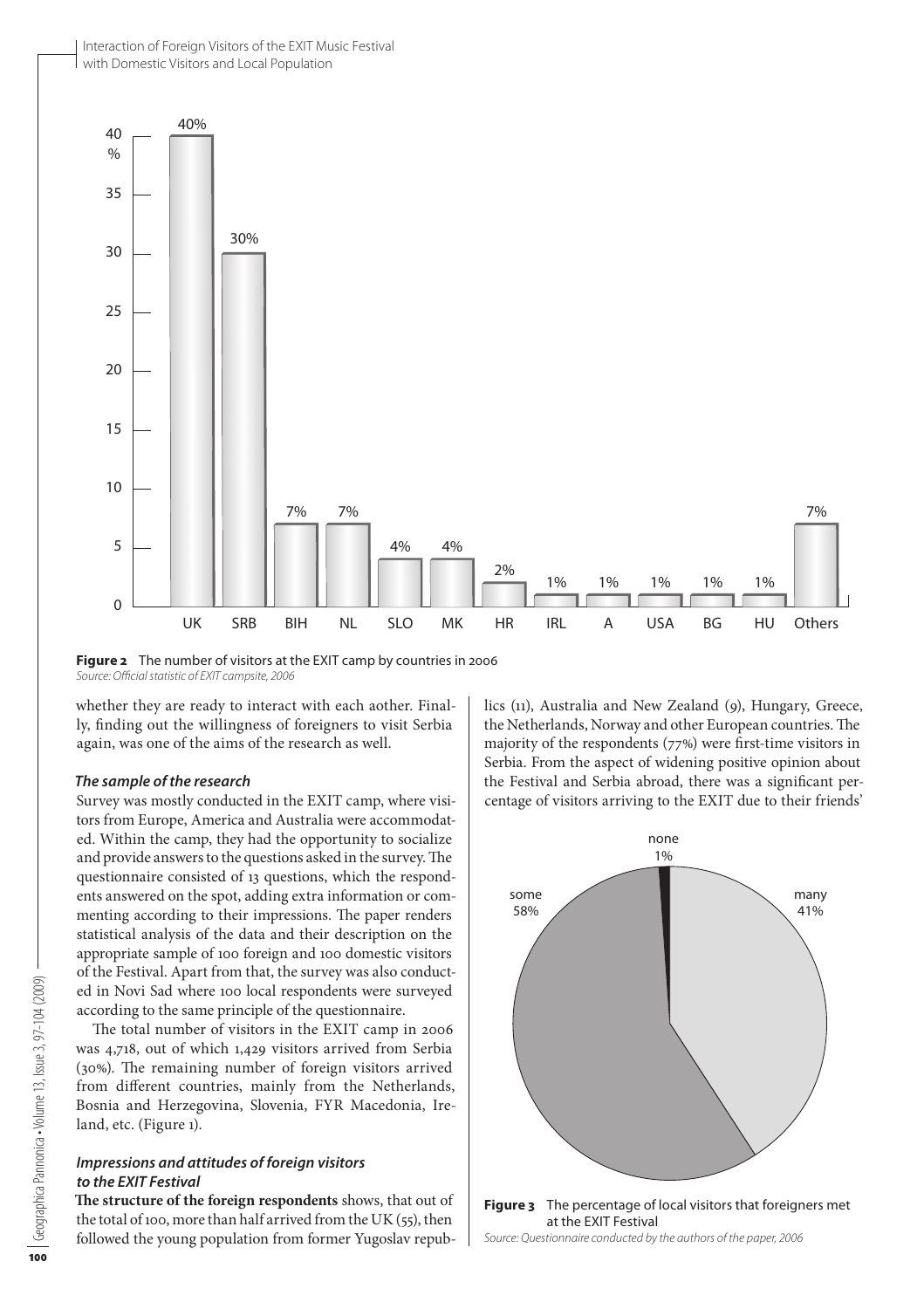Interaction of Foreign Visitors of the EXIT Music Festival with Domestic Visitors and Local Population



**Figure 2** The number of visitors at the EXIT camp by countries in 2006 *Source: Official statistic of EXIT campsite, 2006*

whether they are ready to interact with each aother. Finally, finding out the willingness of foreigners to visit Serbia again, was one of the aims of the research as well.

#### *The sample of the research*

Survey was mostly conducted in the EXIT camp, where visitors from Europe, America and Australia were accommodated. Within the camp, they had the opportunity to socialize and provide answers to the questions asked in the survey. The questionnaire consisted of 13 questions, which the respondents answered on the spot, adding extra information or commenting according to their impressions. The paper renders statistical analysis of the data and their description on the appropriate sample of 100 foreign and 100 domestic visitors of the Festival. Apart from that, the survey was also conducted in Novi Sad where 100 local respondents were surveyed according to the same principle of the questionnaire.

The total number of visitors in the EXIT camp in 2006 was 4,718, out of which 1,429 visitors arrived from Serbia (30%). The remaining number of foreign visitors arrived from different countries, mainly from the Netherlands, Bosnia and Herzegovina, Slovenia, FYR Macedonia, Ireland, etc. (Figure 1).

#### *Impressions and attitudes of foreign visitors to the EXIT Festival*

**The structure of the foreign respondents** shows, that out of the total of 100, more than half arrived from the UK (55), then followed the young population from former Yugoslav republics (11), Australia and New Zealand (9), Hungary, Greece, the Netherlands, Norway and other European countries. The majority of the respondents (77%) were first-time visitors in Serbia. From the aspect of widening positive opinion about the Festival and Serbia abroad, there was a significant percentage of visitors arriving to the EXIT due to their friends'



at the EXIT Festival

*Source: Questionnaire conducted by the authors of the paper, 2006*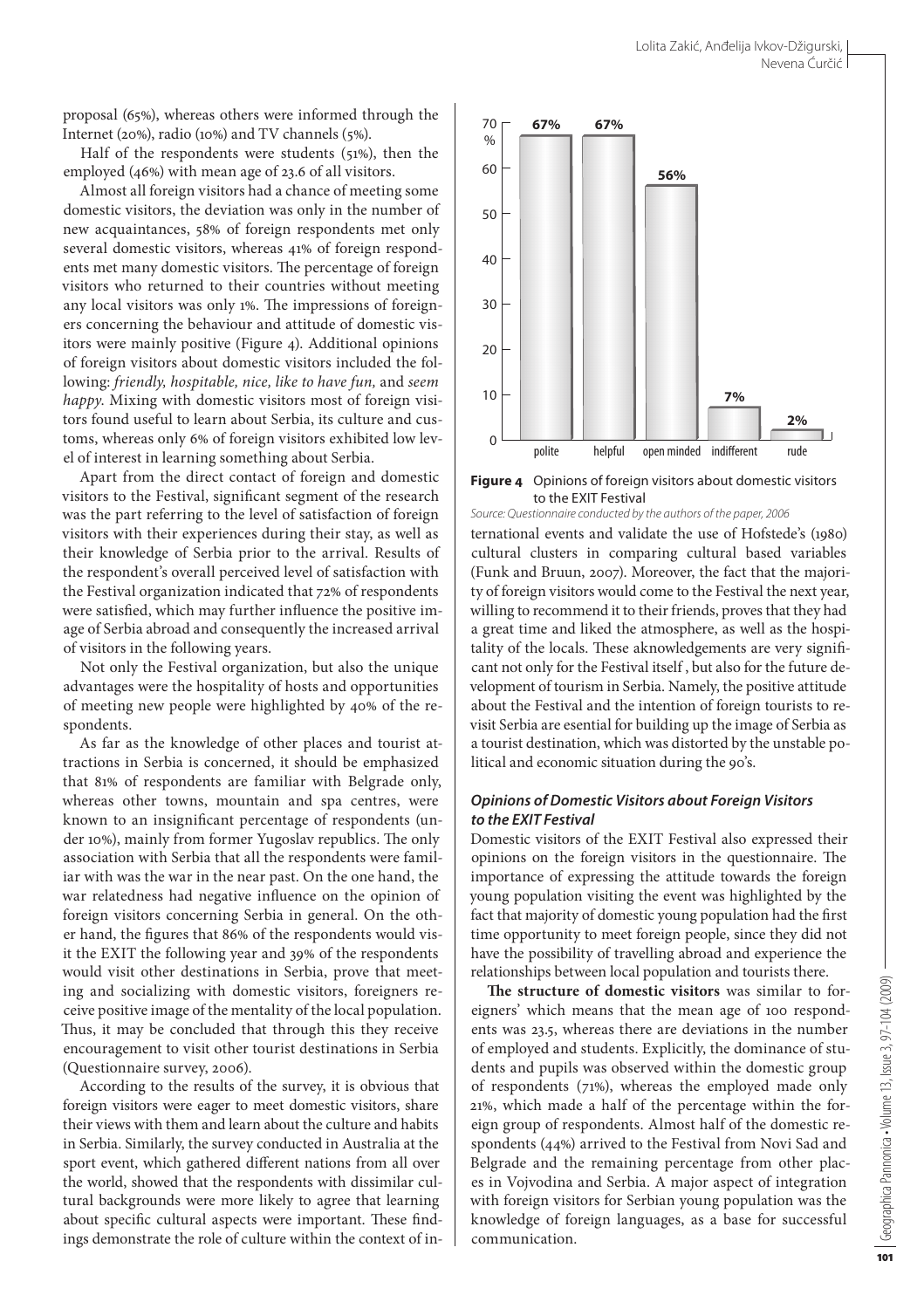proposal (65%), whereas others were informed through the Internet (20%), radio (10%) and TV channels (5%).

Half of the respondents were students (51%), then the employed (46%) with mean age of 23.6 of all visitors.

Almost all foreign visitors had a chance of meeting some domestic visitors, the deviation was only in the number of new acquaintances, 58% of foreign respondents met only several domestic visitors, whereas 41% of foreign respondents met many domestic visitors. The percentage of foreign visitors who returned to their countries without meeting any local visitors was only 1%. The impressions of foreigners concerning the behaviour and attitude of domestic visitors were mainly positive (Figure 4). Additional opinions of foreign visitors about domestic visitors included the following: *friendly, hospitable, nice, like to have fun,* and *seem happy*. Mixing with domestic visitors most of foreign visitors found useful to learn about Serbia, its culture and customs, whereas only 6% of foreign visitors exhibited low level of interest in learning something about Serbia.

Apart from the direct contact of foreign and domestic visitors to the Festival, significant segment of the research was the part referring to the level of satisfaction of foreign visitors with their experiences during their stay, as well as their knowledge of Serbia prior to the arrival. Results of the respondent's overall perceived level of satisfaction with the Festival organization indicated that 72% of respondents were satisfied, which may further influence the positive image of Serbia abroad and consequently the increased arrival of visitors in the following years.

Not only the Festival organization, but also the unique advantages were the hospitality of hosts and opportunities of meeting new people were highlighted by 40% of the respondents.

As far as the knowledge of other places and tourist attractions in Serbia is concerned, it should be emphasized that 81% of respondents are familiar with Belgrade only, whereas other towns, mountain and spa centres, were known to an insignificant percentage of respondents (under 10%), mainly from former Yugoslav republics. The only association with Serbia that all the respondents were familiar with was the war in the near past. On the one hand, the war relatedness had negative influence on the opinion of foreign visitors concerning Serbia in general. On the other hand, the figures that 86% of the respondents would visit the EXIT the following year and 39% of the respondents would visit other destinations in Serbia, prove that meeting and socializing with domestic visitors, foreigners receive positive image of the mentality of the local population. Thus, it may be concluded that through this they receive encouragement to visit other tourist destinations in Serbia (Questionnaire survey, 2006).

According to the results of the survey, it is obvious that foreign visitors were eager to meet domestic visitors, share their views with them and learn about the culture and habits in Serbia. Similarly, the survey conducted in Australia at the sport event, which gathered different nations from all over the world, showed that the respondents with dissimilar cultural backgrounds were more likely to agree that learning about specific cultural aspects were important. These findings demonstrate the role of culture within the context of in-



**Figure 4** Opinions of foreign visitors about domestic visitors to the EXIT Festival

ternational events and validate the use of Hofstede's (1980) cultural clusters in comparing cultural based variables (Funk and Bruun, 2007). Moreover, the fact that the majority of foreign visitors would come to the Festival the next year, willing to recommend it to their friends, proves that they had a great time and liked the atmosphere, as well as the hospitality of the locals. These aknowledgements are very significant not only for the Festival itself , but also for the future development of tourism in Serbia. Namely, the positive attitude about the Festival and the intention of foreign tourists to revisit Serbia are esential for building up the image of Serbia as a tourist destination, which was distorted by the unstable political and economic situation during the 90's. *Source: Questionnaire conducted by the authors of the paper, 2006*

#### *Opinions of Domestic Visitors about Foreign Visitors to the EXIT Festival*

Domestic visitors of the EXIT Festival also expressed their opinions on the foreign visitors in the questionnaire. The importance of expressing the attitude towards the foreign young population visiting the event was highlighted by the fact that majority of domestic young population had the first time opportunity to meet foreign people, since they did not have the possibility of travelling abroad and experience the relationships between local population and tourists there.

**The structure of domestic visitors** was similar to foreigners' which means that the mean age of 100 respondents was 23.5, whereas there are deviations in the number of employed and students. Explicitly, the dominance of students and pupils was observed within the domestic group of respondents (71%), whereas the employed made only 21%, which made a half of the percentage within the foreign group of respondents. Almost half of the domestic respondents (44%) arrived to the Festival from Novi Sad and Belgrade and the remaining percentage from other places in Vojvodina and Serbia. A major aspect of integration with foreign visitors for Serbian young population was the knowledge of foreign languages, as a base for successful communication.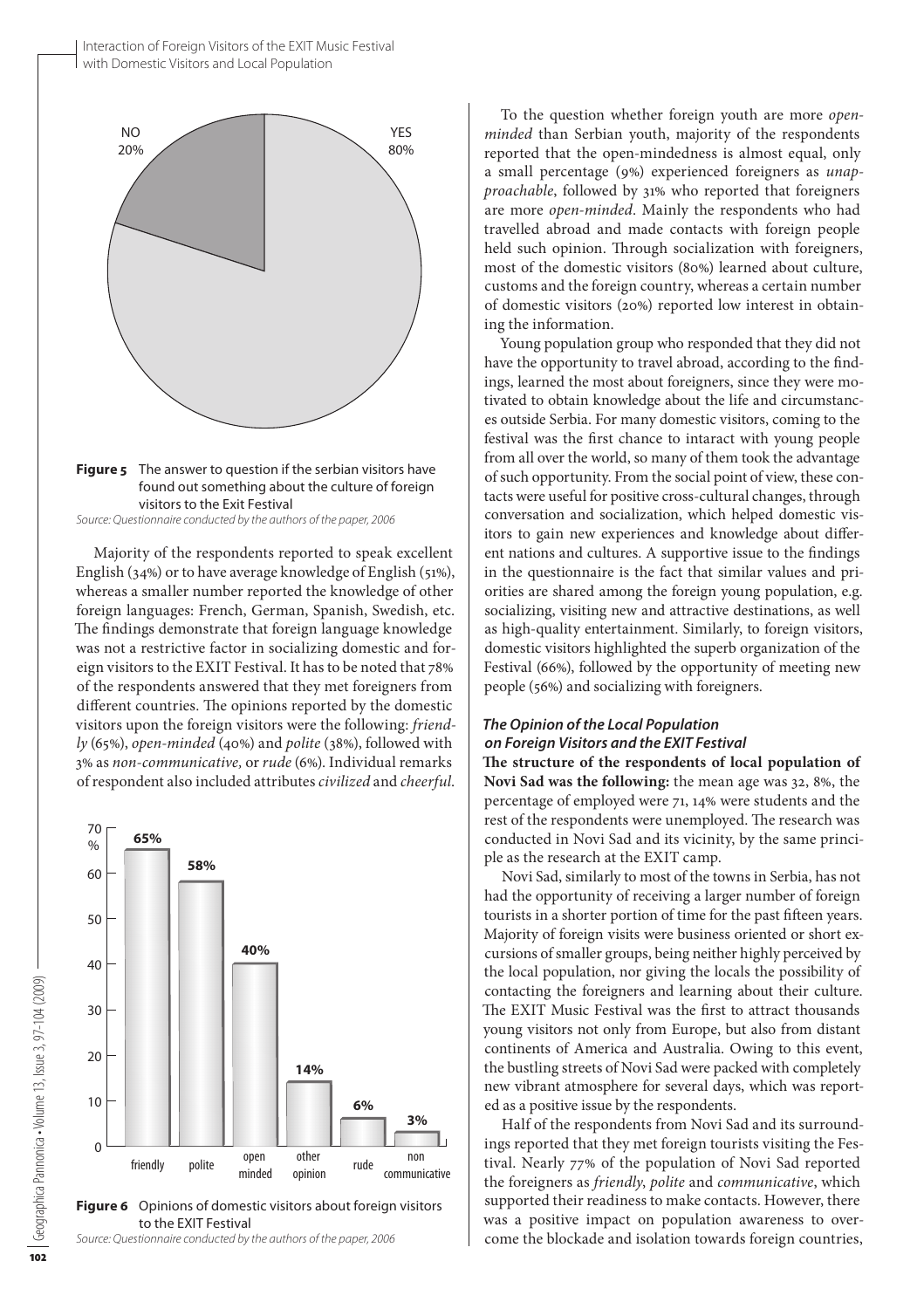

**Figure 5** The answer to question if the serbian visitors have found out something about the culture of foreign visitors to the Exit Festival

*Source: Questionnaire conducted by the authors of the paper, 2006*

Majority of the respondents reported to speak excellent English (34%) or to have average knowledge of English (51%), whereas a smaller number reported the knowledge of other foreign languages: French, German, Spanish, Swedish, etc. The findings demonstrate that foreign language knowledge was not a restrictive factor in socializing domestic and foreign visitors to the EXIT Festival. It has to be noted that 78% of the respondents answered that they met foreigners from different countries. The opinions reported by the domestic visitors upon the foreign visitors were the following: *friendly* (65%), *open-minded* (40%) and *polite* (38%), followed with 3% as *non-communicative,* or *rude* (6%). Individual remarks of respondent also included attributes *civilized* and *cheerful*.



**Figure 6** Opinions of domestic visitors about foreign visitors to the EXIT Festival

*Source: Questionnaire conducted by the authors of the paper, 2006*

To the question whether foreign youth are more *openminded* than Serbian youth, majority of the respondents reported that the open-mindedness is almost equal, only a small percentage (9%) experienced foreigners as *unapproachable*, followed by 31% who reported that foreigners are more *open-minded*. Mainly the respondents who had travelled abroad and made contacts with foreign people held such opinion. Through socialization with foreigners, most of the domestic visitors (80%) learned about culture, customs and the foreign country, whereas a certain number of domestic visitors (20%) reported low interest in obtaining the information.

Young population group who responded that they did not have the opportunity to travel abroad, according to the findings, learned the most about foreigners, since they were motivated to obtain knowledge about the life and circumstances outside Serbia. For many domestic visitors, coming to the festival was the first chance to intaract with young people from all over the world, so many of them took the advantage of such opportunity. From the social point of view, these contacts were useful for positive cross-cultural changes, through conversation and socialization, which helped domestic visitors to gain new experiences and knowledge about different nations and cultures. A supportive issue to the findings in the questionnaire is the fact that similar values and priorities are shared among the foreign young population, e.g. socializing, visiting new and attractive destinations, as well as high-quality entertainment. Similarly, to foreign visitors, domestic visitors highlighted the superb organization of the Festival (66%), followed by the opportunity of meeting new people (56%) and socializing with foreigners.

# *The Opinion of the Local Population on Foreign Visitors and the EXIT Festival*

**The structure of the respondents of local population of Novi Sad was the following:** the mean age was 32, 8%, the percentage of employed were 71, 14% were students and the rest of the respondents were unemployed. The research was conducted in Novi Sad and its vicinity, by the same principle as the research at the EXIT camp.

Novi Sad, similarly to most of the towns in Serbia, has not had the opportunity of receiving a larger number of foreign tourists in a shorter portion of time for the past fifteen years. Majority of foreign visits were business oriented or short excursions of smaller groups, being neither highly perceived by the local population, nor giving the locals the possibility of contacting the foreigners and learning about their culture. The EXIT Music Festival was the first to attract thousands young visitors not only from Europe, but also from distant continents of America and Australia. Owing to this event, the bustling streets of Novi Sad were packed with completely new vibrant atmosphere for several days, which was reported as a positive issue by the respondents.

Half of the respondents from Novi Sad and its surroundings reported that they met foreign tourists visiting the Festival. Nearly 77% of the population of Novi Sad reported the foreigners as *friendly*, *polite* and *communicative*, which supported their readiness to make contacts. However, there was a positive impact on population awareness to overcome the blockade and isolation towards foreign countries,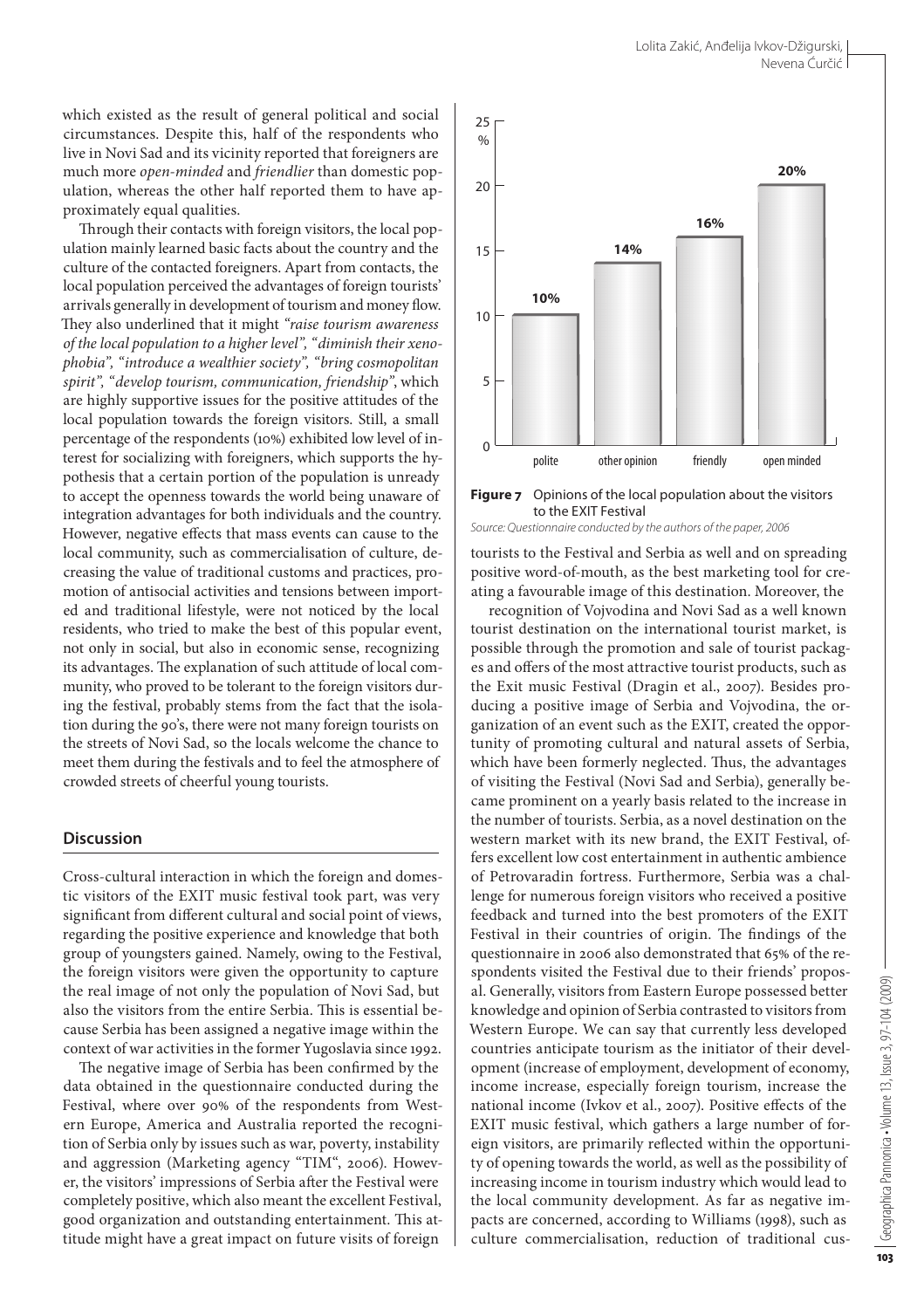which existed as the result of general political and social circumstances. Despite this, half of the respondents who live in Novi Sad and its vicinity reported that foreigners are much more *open-minded* and *friendlier* than domestic population, whereas the other half reported them to have approximately equal qualities.

Through their contacts with foreign visitors, the local population mainly learned basic facts about the country and the culture of the contacted foreigners. Apart from contacts, the local population perceived the advantages of foreign tourists' arrivals generally in development of tourism and money flow. They also underlined that it might *"raise tourism awareness of the local population to a higher level", "diminish their xenophobia", "introduce a wealthier society", "bring cosmopolitan spirit", "develop tourism, communication, friendship"*, which are highly supportive issues for the positive attitudes of the local population towards the foreign visitors. Still, a small percentage of the respondents (10%) exhibited low level of interest for socializing with foreigners, which supports the hypothesis that a certain portion of the population is unready to accept the openness towards the world being unaware of integration advantages for both individuals and the country. However, negative effects that mass events can cause to the local community, such as commercialisation of culture, decreasing the value of traditional customs and practices, promotion of antisocial activities and tensions between imported and traditional lifestyle, were not noticed by the local residents, who tried to make the best of this popular event, not only in social, but also in economic sense, recognizing its advantages. The explanation of such attitude of local community, who proved to be tolerant to the foreign visitors during the festival, probably stems from the fact that the isolation during the 90's, there were not many foreign tourists on the streets of Novi Sad, so the locals welcome the chance to meet them during the festivals and to feel the atmosphere of crowded streets of cheerful young tourists.

#### **Discussion**

Cross-cultural interaction in which the foreign and domestic visitors of the EXIT music festival took part, was very significant from different cultural and social point of views, regarding the positive experience and knowledge that both group of youngsters gained. Namely, owing to the Festival, the foreign visitors were given the opportunity to capture the real image of not only the population of Novi Sad, but also the visitors from the entire Serbia. This is essential because Serbia has been assigned a negative image within the context of war activities in the former Yugoslavia since 1992.

The negative image of Serbia has been confirmed by the data obtained in the questionnaire conducted during the Festival, where over 90% of the respondents from Western Europe, America and Australia reported the recognition of Serbia only by issues such as war, poverty, instability and aggression (Marketing agency "TIM", 2006). However, the visitors' impressions of Serbia after the Festival were completely positive, which also meant the excellent Festival, good organization and outstanding entertainment. This attitude might have a great impact on future visits of foreign



**Figure 7** Opinions of the local population about the visitors to the EXIT Festival *Source: Questionnaire conducted by the authors of the paper, 2006*

tourists to the Festival and Serbia as well and on spreading positive word-of-mouth, as the best marketing tool for creating a favourable image of this destination. Moreover, the

recognition of Vojvodina and Novi Sad as a well known tourist destination on the international tourist market, is possible through the promotion and sale of tourist packages and offers of the most attractive tourist products, such as the Exit music Festival (Dragin et al., 2007). Besides producing a positive image of Serbia and Vojvodina, the organization of an event such as the EXIT, created the opportunity of promoting cultural and natural assets of Serbia, which have been formerly neglected. Thus, the advantages of visiting the Festival (Novi Sad and Serbia), generally became prominent on a yearly basis related to the increase in the number of tourists. Serbia, as a novel destination on the western market with its new brand, the EXIT Festival, offers excellent low cost entertainment in authentic ambience of Petrovaradin fortress. Furthermore, Serbia was a challenge for numerous foreign visitors who received a positive feedback and turned into the best promoters of the EXIT Festival in their countries of origin. The findings of the questionnaire in 2006 also demonstrated that 65% of the respondents visited the Festival due to their friends' proposal. Generally, visitors from Eastern Europe possessed better knowledge and opinion of Serbia contrasted to visitors from Western Europe. We can say that currently less developed countries anticipate tourism as the initiator of their development (increase of employment, development of economy, income increase, especially foreign tourism, increase the national income (Ivkov et al., 2007). Positive effects of the EXIT music festival, which gathers a large number of foreign visitors, are primarily reflected within the opportunity of opening towards the world, as well as the possibility of increasing income in tourism industry which would lead to the local community development. As far as negative impacts are concerned, according to Williams (1998), such as culture commercialisation, reduction of traditional cus